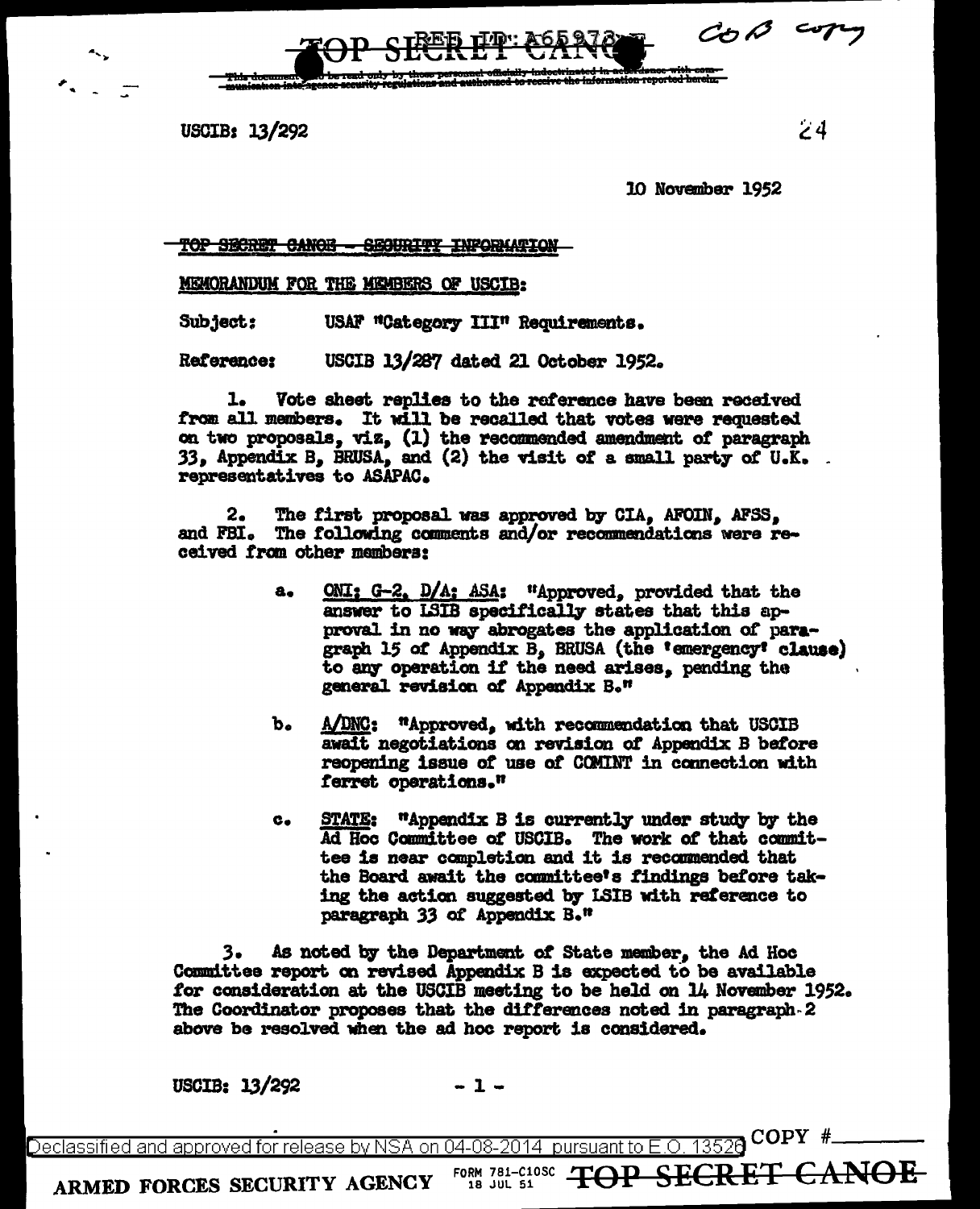$C_{O} \curvearrowright$ 

USCIB: 13/292

 $\mathsf{24}$ 

10 November 1952

<del>TOP SECRET CANOE - SECURITY INFORMATION</del>

**MEMORANDUM FOR THE MEMBERS OF USCIB:** 

 $Subject:$ USAF "Category III" Requirements.

USCIB 13/287 dated 21 October 1952. Reference:

ı. Vote sheet replies to the reference have been received from all members. It will be recalled that votes were requested on two proposals, viz, (1) the recommended amendment of paragraph 33, Appendix B, BRUSA, and (2) the visit of a small party of U.K. representatives to ASAPAC.

The first proposal was approved by CIA. AFOIN. AFSS. 2. and FBI. The following comments and/or recommendations were received from other mambers:

- ONI: G-2, D/A: ASA: "Approved, provided that the  $a<sub>o</sub>$ answer to LSIB specifically states that this approval in no way abrogates the application of paragraph 15 of Appendix B, BRUSA (the 'emergency' clause) to any operation if the need arises, pending the general revision of Appendix B."
- $b_{\bullet}$ A/DNC: "Approved, with recommendation that USCIB await negotiations on revision of Appendix B before reopening issue of use of COMINT in connection with ferret operations."
- **STATE: .** "Appendix B is currently under study by the Ad Hoc Committee of USCIB. The work of that committee is near completion and it is recommended that the Board await the committee's findings before taking the action suggested by ISIB with reference to paragraph 33 of Appendix B."

з. As noted by the Department of State member, the Ad Hoc Committee report on revised Appendix B is expected to be available for consideration at the USCIB meeting to be held on 14 November 1952. The Coordinator proposes that the differences noted in paragraph 2 above be resolved when the ad hoc report is considered.

USCIB: 13/292

COPY # 13520 Declassified and approved for release by NSA on 04-08-2014. pursuant to  $E$  O.

FORM 781-C10SC / ARMED FORCES SECURITY AGENCY